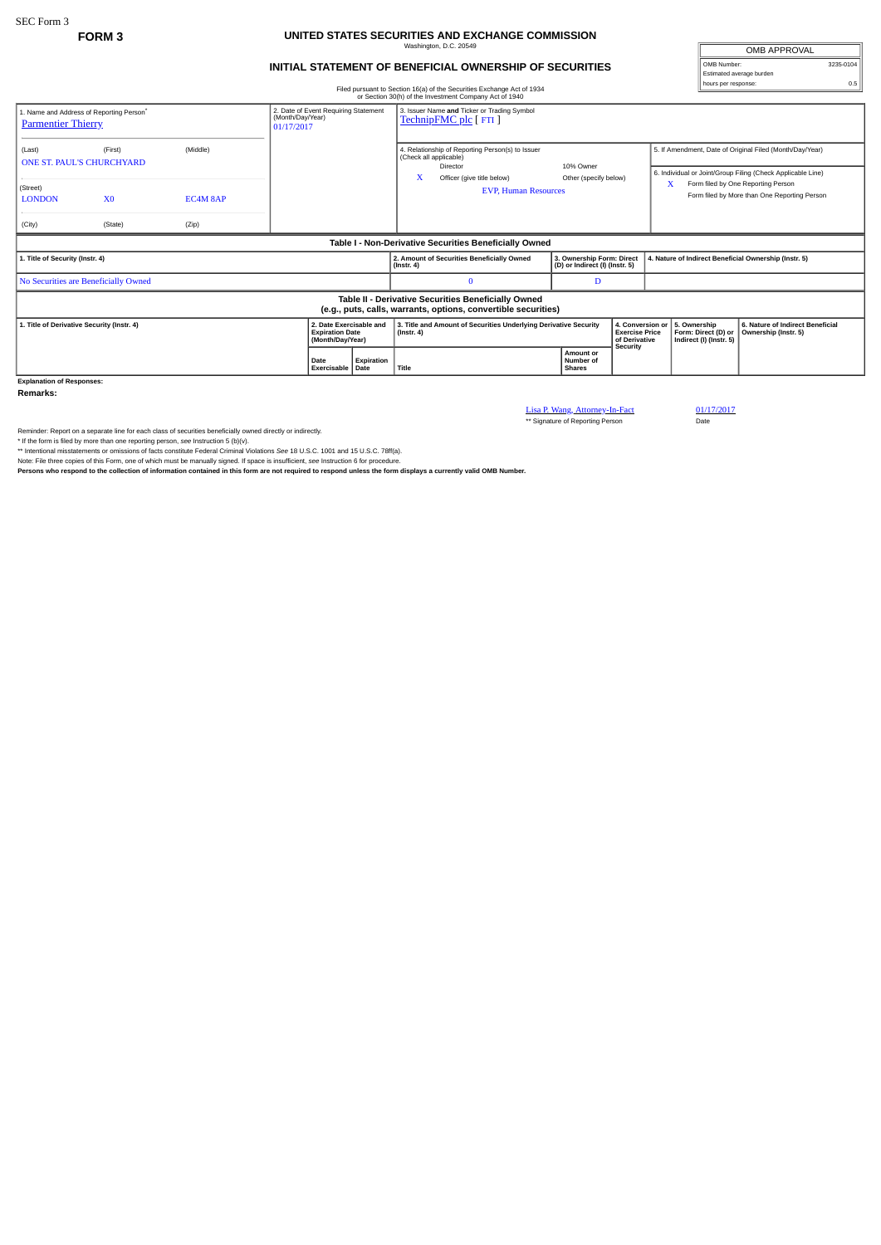## **FORM 3 UNITED STATES SECURITIES AND EXCHANGE COMMISSION** Washington, D.C. 20549

## **INITIAL STATEMENT OF BENEFICIAL OWNERSHIP OF SECURITIES**

OMB APPROVAL OMB Number: 3235-0104 Estimated average burden hours per response: 0.5

| Filed pursuant to Section 16(a) of the Securities Exchange Act of 1934 |  |
|------------------------------------------------------------------------|--|

| or Section 30(h) of the Investment Company Act of 1940                                                                                                      |                |          |                                          |  |                                                                                      |                                                                                                     |                                                             |                                                                        |                                                       |                                                                                                                                                   |                                                          |  |  |
|-------------------------------------------------------------------------------------------------------------------------------------------------------------|----------------|----------|------------------------------------------|--|--------------------------------------------------------------------------------------|-----------------------------------------------------------------------------------------------------|-------------------------------------------------------------|------------------------------------------------------------------------|-------------------------------------------------------|---------------------------------------------------------------------------------------------------------------------------------------------------|----------------------------------------------------------|--|--|
| 2. Date of Event Requiring Statement<br>1. Name and Address of Reporting Person <sup>*</sup><br>(Month/Day/Year)<br><b>Parmentier Thierry</b><br>01/17/2017 |                |          |                                          |  | 3. Issuer Name and Ticker or Trading Symbol<br>TechnipFMC plc [ FTI ]                |                                                                                                     |                                                             |                                                                        |                                                       |                                                                                                                                                   |                                                          |  |  |
| (Last)<br>ONE ST. PAUL'S CHURCHYARD                                                                                                                         | (First)        | (Middle) |                                          |  |                                                                                      | 4. Relationship of Reporting Person(s) to Issuer<br>(Check all applicable)<br>10% Owner<br>Director |                                                             |                                                                        |                                                       | 5. If Amendment, Date of Original Filed (Month/Day/Year)                                                                                          |                                                          |  |  |
| (Street)<br><b>LONDON</b>                                                                                                                                   | X <sub>0</sub> | EC4M 8AP |                                          |  |                                                                                      | x<br>Officer (give title below)<br><b>EVP. Human Resources</b>                                      |                                                             | Other (specify below)                                                  |                                                       | 6. Individual or Joint/Group Filing (Check Applicable Line)<br>Form filed by One Reporting Person<br>Form filed by More than One Reporting Person |                                                          |  |  |
| (City)                                                                                                                                                      | (State)        | (Zip)    |                                          |  |                                                                                      |                                                                                                     |                                                             |                                                                        |                                                       |                                                                                                                                                   |                                                          |  |  |
| Table I - Non-Derivative Securities Beneficially Owned                                                                                                      |                |          |                                          |  |                                                                                      |                                                                                                     |                                                             |                                                                        |                                                       |                                                                                                                                                   |                                                          |  |  |
| 1. Title of Security (Instr. 4)                                                                                                                             |                |          |                                          |  | 2. Amount of Securities Beneficially Owned<br>$($ Instr. 4 $)$                       |                                                                                                     | 3. Ownership Form: Direct<br>(D) or Indirect (I) (Instr. 5) |                                                                        | 4. Nature of Indirect Beneficial Ownership (Instr. 5) |                                                                                                                                                   |                                                          |  |  |
| No Securities are Beneficially Owned                                                                                                                        |                |          |                                          |  |                                                                                      | $\mathbf{0}$                                                                                        | D                                                           |                                                                        |                                                       |                                                                                                                                                   |                                                          |  |  |
| Table II - Derivative Securities Beneficially Owned<br>(e.g., puts, calls, warrants, options, convertible securities)                                       |                |          |                                          |  |                                                                                      |                                                                                                     |                                                             |                                                                        |                                                       |                                                                                                                                                   |                                                          |  |  |
| 2. Date Exercisable and<br>1. Title of Derivative Security (Instr. 4)<br><b>Expiration Date</b><br>(Month/Day/Year)                                         |                |          |                                          |  | 3. Title and Amount of Securities Underlying Derivative Security<br>$($ Instr. 4 $)$ |                                                                                                     |                                                             | 4. Conversion or<br><b>Exercise Price</b><br>of Derivative<br>Security |                                                       | 5. Ownership<br>Form: Direct (D) or<br>Indirect (I) (Instr. 5)                                                                                    | 6. Nature of Indirect Beneficial<br>Ownership (Instr. 5) |  |  |
|                                                                                                                                                             |                |          | Expiration<br>Date<br>Exercisable   Date |  | Title                                                                                |                                                                                                     |                                                             | <b>Amount or</b><br>Number of<br><b>Shares</b>                         |                                                       |                                                                                                                                                   |                                                          |  |  |
| <b>Explanation of Responses:</b>                                                                                                                            |                |          |                                          |  |                                                                                      |                                                                                                     |                                                             |                                                                        |                                                       |                                                                                                                                                   |                                                          |  |  |

**Remarks:**

Lisa P. Wang, Attorney-In-Fact 01/17/2017<br>\*\* Signature of Reporting Person Date

Reminder: Report on a separate line for each class of securities beneficially owned directly or indirectly.<br>\* If the form is filed by more than one reporting person, see Instruction 5 (b)(v).<br>\* Intentional misstatements or